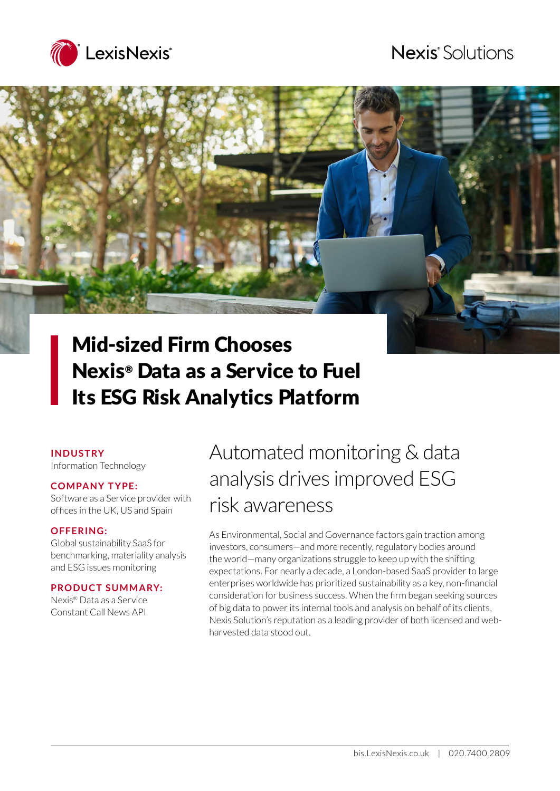

# **Nexis** Solutions



# Nexis® Data as a Service to Fuel Its ESG Risk Analytics Platform

#### **INDUSTRY**

Information Technology

#### **COMPANY TYPE:**

Software as a Service provider with offices in the UK, US and Spain

#### **OFFERING:**

Global sustainability SaaS for benchmarking, materiality analysis and ESG issues monitoring

#### **PRODUCT SUMMARY:**

Nexis® Data as a Service Constant Call News API

# Automated monitoring & data analysis drives improved ESG risk awareness

As Environmental, Social and Governance factors gain traction among investors, consumers—and more recently, regulatory bodies around the world—many organizations struggle to keep up with the shifting expectations. For nearly a decade, a London-based SaaS provider to large enterprises worldwide has prioritized sustainability as a key, non-financial consideration for business success. When the firm began seeking sources of big data to power its internal tools and analysis on behalf of its clients, Nexis Solution's reputation as a leading provider of both licensed and webharvested data stood out.